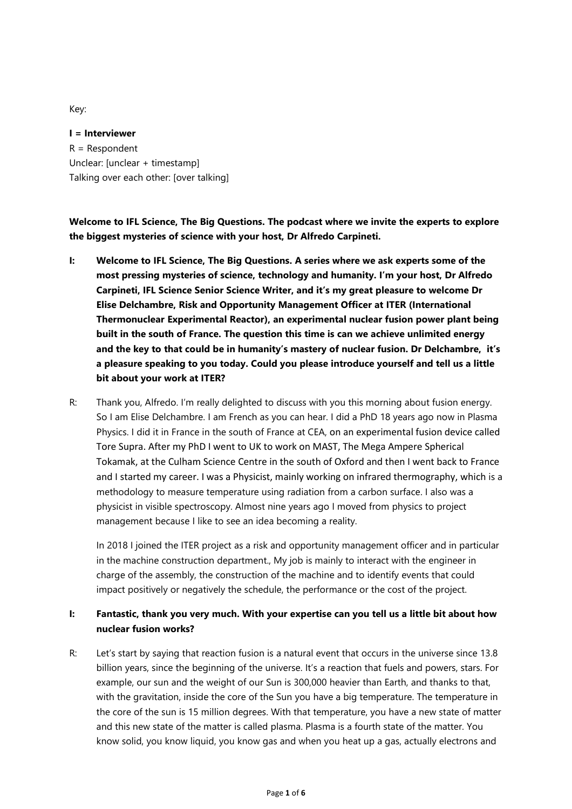Key:

**I = Interviewer** R = Respondent Unclear: [unclear + timestamp] Talking over each other: [over talking]

**Welcome to IFL Science, The Big Questions. The podcast where we invite the experts to explore the biggest mysteries of science with your host, Dr Alfredo Carpineti.**

- **I: Welcome to IFL Science, The Big Questions. A series where we ask experts some of the most pressing mysteries of science, technology and humanity. I'm your host, Dr Alfredo Carpineti, IFL Science Senior Science Writer, and it's my great pleasure to welcome Dr Elise Delchambre, Risk and Opportunity Management Officer at ITER (International Thermonuclear Experimental Reactor), an experimental nuclear fusion power plant being built in the south of France. The question this time is can we achieve unlimited energy and the key to that could be in humanity's mastery of nuclear fusion. Dr Delchambre, it's a pleasure speaking to you today. Could you please introduce yourself and tell us a little bit about your work at ITER?**
- R: Thank you, Alfredo. I'm really delighted to discuss with you this morning about fusion energy. So I am Elise Delchambre. I am French as you can hear. I did a PhD 18 years ago now in Plasma Physics. I did it in France in the south of France at CEA, on an experimental fusion device called Tore Supra. After my PhD I went to UK to work on MAST, The Mega Ampere Spherical Tokamak, at the Culham Science Centre in the south of Oxford and then I went back to France and I started my career. I was a Physicist, mainly working on infrared thermography, which is a methodology to measure temperature using radiation from a carbon surface. I also was a physicist in visible spectroscopy. Almost nine years ago I moved from physics to project management because I like to see an idea becoming a reality.

In 2018 I joined the ITER project as a risk and opportunity management officer and in particular in the machine construction department., My job is mainly to interact with the engineer in charge of the assembly, the construction of the machine and to identify events that could impact positively or negatively the schedule, the performance or the cost of the project.

## **I: Fantastic, thank you very much. With your expertise can you tell us a little bit about how nuclear fusion works?**

R: Let's start by saying that reaction fusion is a natural event that occurs in the universe since 13.8 billion years, since the beginning of the universe. It's a reaction that fuels and powers, stars. For example, our sun and the weight of our Sun is 300,000 heavier than Earth, and thanks to that, with the gravitation, inside the core of the Sun you have a big temperature. The temperature in the core of the sun is 15 million degrees. With that temperature, you have a new state of matter and this new state of the matter is called plasma. Plasma is a fourth state of the matter. You know solid, you know liquid, you know gas and when you heat up a gas, actually electrons and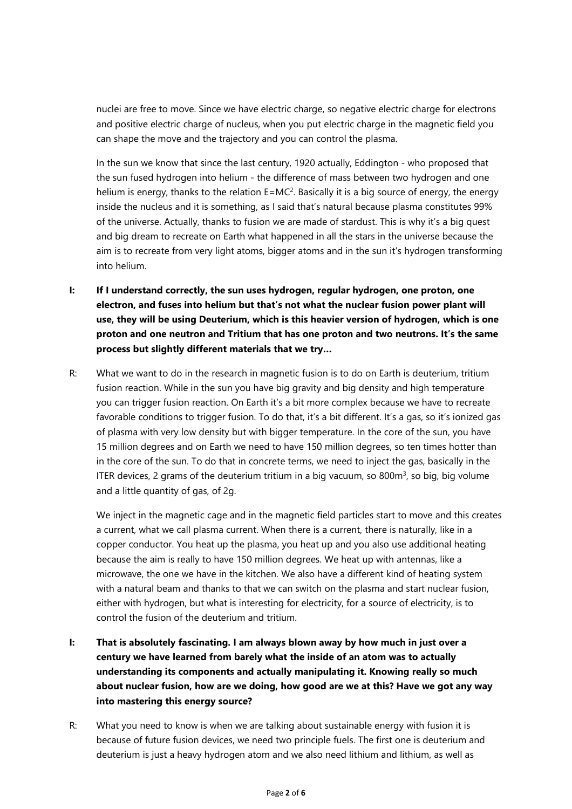nuclei are free to move. Since we have electric charge, so negative electric charge for electrons and positive electric charge of nucleus, when you put electric charge in the magnetic field you can shape the move and the trajectory and you can control the plasma.

In the sun we know that since the last century, 1920 actually, Eddington - who proposed that the sun fused hydrogen into helium - the difference of mass between two hydrogen and one helium is energy, thanks to the relation E=MC<sup>2</sup>. Basically it is a big source of energy, the energy inside the nucleus and it is something, as I said that's natural because plasma constitutes 99% of the universe. Actually, thanks to fusion we are made of stardust. This is why it's a big quest and big dream to recreate on Earth what happened in all the stars in the universe because the aim is to recreate from very light atoms, bigger atoms and in the sun it's hydrogen transforming into helium.

- **I: If I understand correctly, the sun uses hydrogen, regular hydrogen, one proton, one electron, and fuses into helium but that's not what the nuclear fusion power plant will use, they will be using Deuterium, which is this heavier version of hydrogen, which is one proton and one neutron and Tritium that has one proton and two neutrons. It's the same process but slightly different materials that we try…**
- R: What we want to do in the research in magnetic fusion is to do on Earth is deuterium, tritium fusion reaction. While in the sun you have big gravity and big density and high temperature you can trigger fusion reaction. On Earth it's a bit more complex because we have to recreate favorable conditions to trigger fusion. To do that, it's a bit different. It's a gas, so it's ionized gas of plasma with very low density but with bigger temperature. In the core of the sun, you have 15 million degrees and on Earth we need to have 150 million degrees, so ten times hotter than in the core of the sun. To do that in concrete terms, we need to inject the gas, basically in the ITER devices, 2 grams of the deuterium tritium in a big vacuum, so 800m<sup>3</sup>, so big, big volume and a little quantity of gas, of 2g.

We inject in the magnetic cage and in the magnetic field particles start to move and this creates a current, what we call plasma current. When there is a current, there is naturally, like in a copper conductor. You heat up the plasma, you heat up and you also use additional heating because the aim is really to have 150 million degrees. We heat up with antennas, like a microwave, the one we have in the kitchen. We also have a different kind of heating system with a natural beam and thanks to that we can switch on the plasma and start nuclear fusion, either with hydrogen, but what is interesting for electricity, for a source of electricity, is to control the fusion of the deuterium and tritium.

- **I: That is absolutely fascinating. I am always blown away by how much in just over a century we have learned from barely what the inside of an atom was to actually understanding its components and actually manipulating it. Knowing really so much about nuclear fusion, how are we doing, how good are we at this? Have we got any way into mastering this energy source?**
- R: What you need to know is when we are talking about sustainable energy with fusion it is because of future fusion devices, we need two principle fuels. The first one is deuterium and deuterium is just a heavy hydrogen atom and we also need lithium and lithium, as well as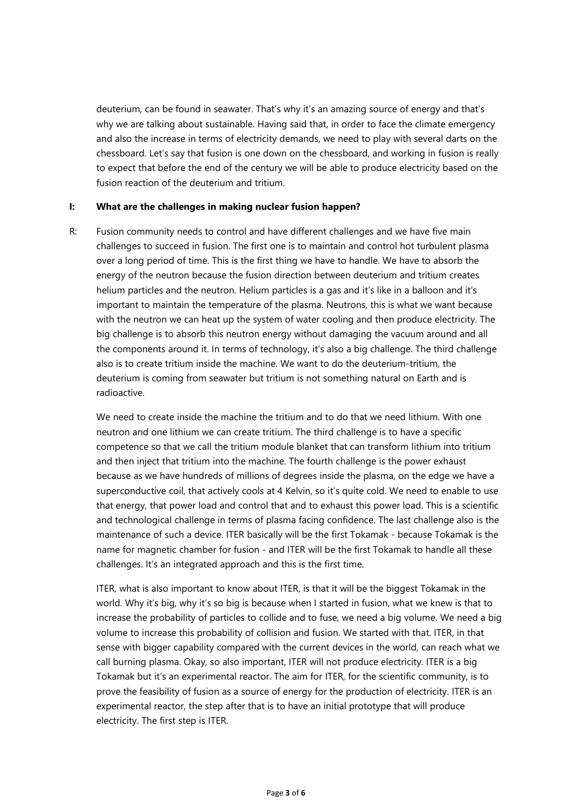deuterium, can be found in seawater. That's why it's an amazing source of energy and that's why we are talking about sustainable. Having said that, in order to face the climate emergency and also the increase in terms of electricity demands, we need to play with several darts on the chessboard. Let's say that fusion is one down on the chessboard, and working in fusion is really to expect that before the end of the century we will be able to produce electricity based on the fusion reaction of the deuterium and tritium.

## **I: What are the challenges in making nuclear fusion happen?**

R: Fusion community needs to control and have different challenges and we have five main challenges to succeed in fusion. The first one is to maintain and control hot turbulent plasma over a long period of time. This is the first thing we have to handle. We have to absorb the energy of the neutron because the fusion direction between deuterium and tritium creates helium particles and the neutron. Helium particles is a gas and it's like in a balloon and it's important to maintain the temperature of the plasma. Neutrons, this is what we want because with the neutron we can heat up the system of water cooling and then produce electricity. The big challenge is to absorb this neutron energy without damaging the vacuum around and all the components around it. In terms of technology, it's also a big challenge. The third challenge also is to create tritium inside the machine. We want to do the deuterium-tritium, the deuterium is coming from seawater but tritium is not something natural on Earth and is radioactive.

We need to create inside the machine the tritium and to do that we need lithium. With one neutron and one lithium we can create tritium. The third challenge is to have a specific competence so that we call the tritium module blanket that can transform lithium into tritium and then inject that tritium into the machine. The fourth challenge is the power exhaust because as we have hundreds of millions of degrees inside the plasma, on the edge we have a superconductive coil, that actively cools at 4 Kelvin, so it's quite cold. We need to enable to use that energy, that power load and control that and to exhaust this power load. This is a scientific and technological challenge in terms of plasma facing confidence. The last challenge also is the maintenance of such a device. ITER basically will be the first Tokamak - because Tokamak is the name for magnetic chamber for fusion - and ITER will be the first Tokamak to handle all these challenges. It's an integrated approach and this is the first time.

ITER, what is also important to know about ITER, is that it will be the biggest Tokamak in the world. Why it's big, why it's so big is because when I started in fusion, what we knew is that to increase the probability of particles to collide and to fuse, we need a big volume. We need a big volume to increase this probability of collision and fusion. We started with that. ITER, in that sense with bigger capability compared with the current devices in the world, can reach what we call burning plasma. Okay, so also important, ITER will not produce electricity. ITER is a big Tokamak but it's an experimental reactor. The aim for ITER, for the scientific community, is to prove the feasibility of fusion as a source of energy for the production of electricity. ITER is an experimental reactor, the step after that is to have an initial prototype that will produce electricity. The first step is ITER.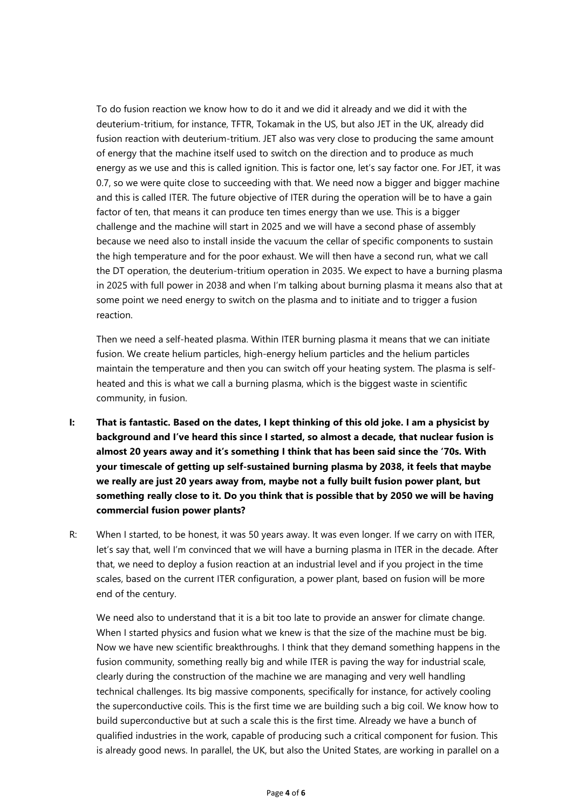To do fusion reaction we know how to do it and we did it already and we did it with the deuterium-tritium, for instance, TFTR, Tokamak in the US, but also JET in the UK, already did fusion reaction with deuterium-tritium. JET also was very close to producing the same amount of energy that the machine itself used to switch on the direction and to produce as much energy as we use and this is called ignition. This is factor one, let's say factor one. For JET, it was 0.7, so we were quite close to succeeding with that. We need now a bigger and bigger machine and this is called ITER. The future objective of ITER during the operation will be to have a gain factor of ten, that means it can produce ten times energy than we use. This is a bigger challenge and the machine will start in 2025 and we will have a second phase of assembly because we need also to install inside the vacuum the cellar of specific components to sustain the high temperature and for the poor exhaust. We will then have a second run, what we call the DT operation, the deuterium-tritium operation in 2035. We expect to have a burning plasma in 2025 with full power in 2038 and when I'm talking about burning plasma it means also that at some point we need energy to switch on the plasma and to initiate and to trigger a fusion reaction.

Then we need a self-heated plasma. Within ITER burning plasma it means that we can initiate fusion. We create helium particles, high-energy helium particles and the helium particles maintain the temperature and then you can switch off your heating system. The plasma is selfheated and this is what we call a burning plasma, which is the biggest waste in scientific community, in fusion.

- I: That is fantastic. Based on the dates, I kept thinking of this old joke. I am a physicist by **background and I've heard this since I started, so almost a decade, that nuclear fusion is almost 20 years away and it's something I think that has been said since the '70s. With your timescale of getting up self-sustained burning plasma by 2038, it feels that maybe we really are just 20 years away from, maybe not a fully built fusion power plant, but something really close to it. Do you think that is possible that by 2050 we will be having commercial fusion power plants?**
- R: When I started, to be honest, it was 50 years away. It was even longer. If we carry on with ITER, let's say that, well I'm convinced that we will have a burning plasma in ITER in the decade. After that, we need to deploy a fusion reaction at an industrial level and if you project in the time scales, based on the current ITER configuration, a power plant, based on fusion will be more end of the century.

We need also to understand that it is a bit too late to provide an answer for climate change. When I started physics and fusion what we knew is that the size of the machine must be big. Now we have new scientific breakthroughs. I think that they demand something happens in the fusion community, something really big and while ITER is paving the way for industrial scale, clearly during the construction of the machine we are managing and very well handling technical challenges. Its big massive components, specifically for instance, for actively cooling the superconductive coils. This is the first time we are building such a big coil. We know how to build superconductive but at such a scale this is the first time. Already we have a bunch of qualified industries in the work, capable of producing such a critical component for fusion. This is already good news. In parallel, the UK, but also the United States, are working in parallel on a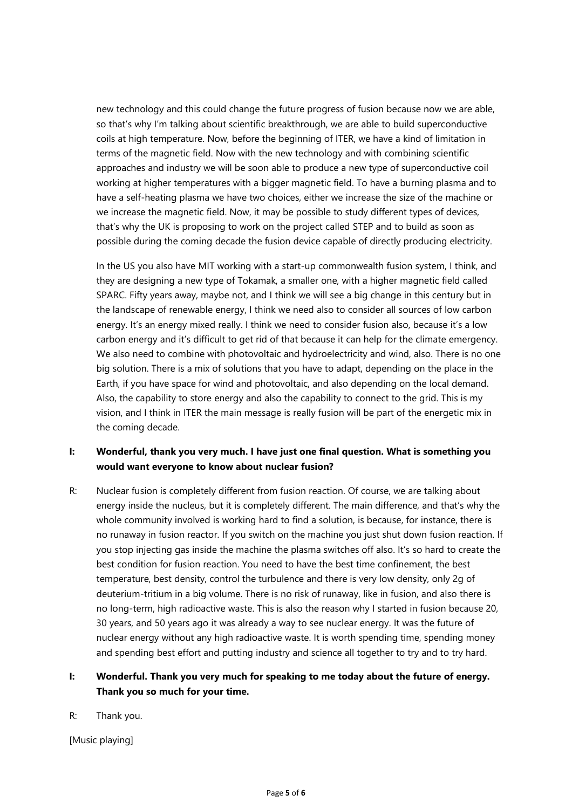new technology and this could change the future progress of fusion because now we are able, so that's why I'm talking about scientific breakthrough, we are able to build superconductive coils at high temperature. Now, before the beginning of ITER, we have a kind of limitation in terms of the magnetic field. Now with the new technology and with combining scientific approaches and industry we will be soon able to produce a new type of superconductive coil working at higher temperatures with a bigger magnetic field. To have a burning plasma and to have a self-heating plasma we have two choices, either we increase the size of the machine or we increase the magnetic field. Now, it may be possible to study different types of devices, that's why the UK is proposing to work on the project called STEP and to build as soon as possible during the coming decade the fusion device capable of directly producing electricity.

In the US you also have MIT working with a start-up commonwealth fusion system, I think, and they are designing a new type of Tokamak, a smaller one, with a higher magnetic field called SPARC. Fifty years away, maybe not, and I think we will see a big change in this century but in the landscape of renewable energy, I think we need also to consider all sources of low carbon energy. It's an energy mixed really. I think we need to consider fusion also, because it's a low carbon energy and it's difficult to get rid of that because it can help for the climate emergency. We also need to combine with photovoltaic and hydroelectricity and wind, also. There is no one big solution. There is a mix of solutions that you have to adapt, depending on the place in the Earth, if you have space for wind and photovoltaic, and also depending on the local demand. Also, the capability to store energy and also the capability to connect to the grid. This is my vision, and I think in ITER the main message is really fusion will be part of the energetic mix in the coming decade.

## **I: Wonderful, thank you very much. I have just one final question. What is something you would want everyone to know about nuclear fusion?**

R: Nuclear fusion is completely different from fusion reaction. Of course, we are talking about energy inside the nucleus, but it is completely different. The main difference, and that's why the whole community involved is working hard to find a solution, is because, for instance, there is no runaway in fusion reactor. If you switch on the machine you just shut down fusion reaction. If you stop injecting gas inside the machine the plasma switches off also. It's so hard to create the best condition for fusion reaction. You need to have the best time confinement, the best temperature, best density, control the turbulence and there is very low density, only 2g of deuterium-tritium in a big volume. There is no risk of runaway, like in fusion, and also there is no long-term, high radioactive waste. This is also the reason why I started in fusion because 20, 30 years, and 50 years ago it was already a way to see nuclear energy. It was the future of nuclear energy without any high radioactive waste. It is worth spending time, spending money and spending best effort and putting industry and science all together to try and to try hard.

## **I: Wonderful. Thank you very much for speaking to me today about the future of energy. Thank you so much for your time.**

R: Thank you.

[Music playing]